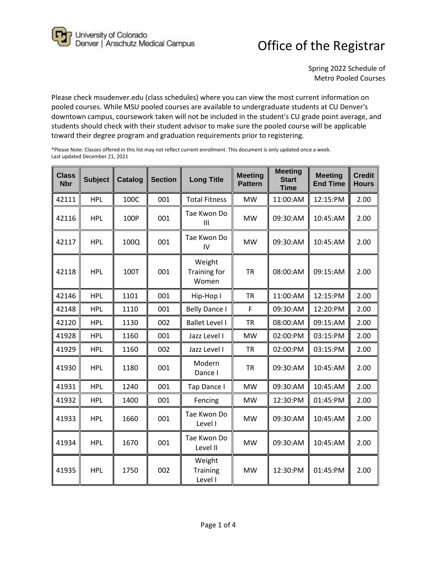University of Colorado<br>Denver | Anschutz Medical Campus

## Office of the Registrar

Spring 2022 Schedule of Metro Pooled Courses

Please check msudenver.edu (class schedules) where you can view the most current information on pooled courses. While MSU pooled courses are available to undergraduate students at CU Denver's downtown campus, coursework taken will not be included in the student's CU grade point average, and students should check with their student advisor to make sure the pooled course will be applicable toward their degree program and graduation requirements prior to registering.

| <b>Class</b><br><b>Nbr</b> | <b>Subject</b> | Catalog | <b>Section</b> | <b>Long Title</b>               | <b>Meeting</b><br><b>Pattern</b> | <b>Meeting</b><br><b>Start</b><br><b>Time</b> | <b>Meeting</b><br><b>End Time</b> | <b>Credit</b><br><b>Hours</b> |
|----------------------------|----------------|---------|----------------|---------------------------------|----------------------------------|-----------------------------------------------|-----------------------------------|-------------------------------|
| 42111                      | <b>HPL</b>     | 100C    | 001            | <b>Total Fitness</b>            | <b>MW</b>                        | 11:00:AM                                      | 12:15:PM                          | 2.00                          |
| 42116                      | <b>HPL</b>     | 100P    | 001            | Tae Kwon Do<br>III              | <b>MW</b>                        | 09:30:AM                                      | 10:45:AM                          | 2.00                          |
| 42117                      | <b>HPL</b>     | 100Q    | 001            | Tae Kwon Do<br>IV               | <b>MW</b>                        | 09:30:AM                                      | 10:45:AM                          | 2.00                          |
| 42118                      | <b>HPL</b>     | 100T    | 001            | Weight<br>Training for<br>Women | <b>TR</b>                        | 08:00:AM                                      | 09:15:AM                          | 2.00                          |
| 42146                      | <b>HPL</b>     | 1101    | 001            | Hip-Hop I                       | <b>TR</b>                        | 11:00:AM                                      | 12:15:PM                          | 2.00                          |
| 42148                      | <b>HPL</b>     | 1110    | 001            | <b>Belly Dance I</b>            | F                                | 09:30:AM                                      | 12:20:PM                          | 2.00                          |
| 42120                      | <b>HPL</b>     | 1130    | 002            | <b>Ballet Level I</b>           | <b>TR</b>                        | 08:00:AM                                      | 09:15:AM                          | 2.00                          |
| 41928                      | <b>HPL</b>     | 1160    | 001            | Jazz Level I                    | <b>MW</b>                        | 02:00:PM                                      | 03:15:PM                          | 2.00                          |
| 41929                      | <b>HPL</b>     | 1160    | 002            | Jazz Level I                    | <b>TR</b>                        | 02:00:PM                                      | 03:15:PM                          | 2.00                          |
| 41930                      | <b>HPL</b>     | 1180    | 001            | Modern<br>Dance I               | <b>TR</b>                        | 09:30:AM                                      | 10:45:AM                          | 2.00                          |
| 41931                      | <b>HPL</b>     | 1240    | 001            | Tap Dance I                     | <b>MW</b>                        | 09:30:AM                                      | 10:45:AM                          | 2.00                          |
| 41932                      | <b>HPL</b>     | 1400    | 001            | Fencing                         | <b>MW</b>                        | 12:30:PM                                      | 01:45:PM                          | 2.00                          |
| 41933                      | <b>HPL</b>     | 1660    | 001            | Tae Kwon Do<br>Level I          | <b>MW</b>                        | 09:30:AM                                      | 10:45:AM                          | 2.00                          |
| 41934                      | <b>HPL</b>     | 1670    | 001            | Tae Kwon Do<br>Level II         | <b>MW</b>                        | 09:30:AM                                      | 10:45:AM                          | 2.00                          |
| 41935                      | <b>HPL</b>     | 1750    | 002            | Weight<br>Training<br>Level I   | <b>MW</b>                        | 12:30:PM                                      | 01:45:PM                          | 2.00                          |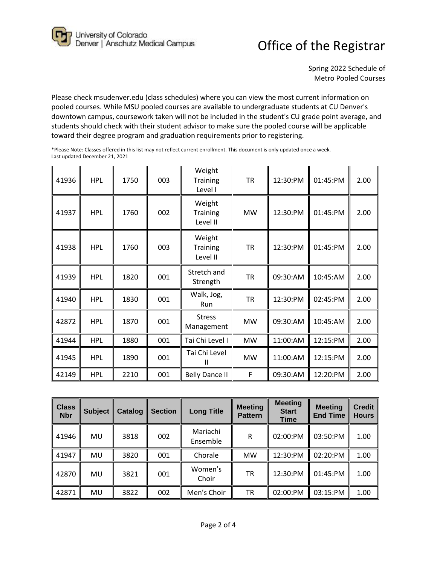University of Colorado<br>Denver | Anschutz Medical Campus

## Office of the Registrar

Spring 2022 Schedule of Metro Pooled Courses

Please check msudenver.edu (class schedules) where you can view the most current information on pooled courses. While MSU pooled courses are available to undergraduate students at CU Denver's downtown campus, coursework taken will not be included in the student's CU grade point average, and students should check with their student advisor to make sure the pooled course will be applicable toward their degree program and graduation requirements prior to registering.

| 41936 | <b>HPL</b> | 1750 | 003 | Weight<br><b>Training</b><br>Level I  | TR        | 12:30:PM | 01:45:PM | 2.00 |
|-------|------------|------|-----|---------------------------------------|-----------|----------|----------|------|
| 41937 | <b>HPL</b> | 1760 | 002 | Weight<br><b>Training</b><br>Level II | <b>MW</b> | 12:30:PM | 01:45:PM | 2.00 |
| 41938 | <b>HPL</b> | 1760 | 003 | Weight<br><b>Training</b><br>Level II | ΤR        | 12:30:PM | 01:45:PM | 2.00 |
| 41939 | <b>HPL</b> | 1820 | 001 | Stretch and<br>Strength               | <b>TR</b> | 09:30:AM | 10:45:AM | 2.00 |
| 41940 | <b>HPL</b> | 1830 | 001 | Walk, Jog,<br>Run                     | ΤR        | 12:30:PM | 02:45:PM | 2.00 |
| 42872 | <b>HPL</b> | 1870 | 001 | <b>Stress</b><br>Management           | <b>MW</b> | 09:30:AM | 10:45:AM | 2.00 |
| 41944 | <b>HPL</b> | 1880 | 001 | Tai Chi Level I                       | <b>MW</b> | 11:00:AM | 12:15:PM | 2.00 |
| 41945 | <b>HPL</b> | 1890 | 001 | Tai Chi Level<br>$\mathsf{I}$         | <b>MW</b> | 11:00:AM | 12:15:PM | 2.00 |
| 42149 | <b>HPL</b> | 2210 | 001 | <b>Belly Dance II</b>                 | F         | 09:30:AM | 12:20:PM | 2.00 |

| <b>Class</b><br><b>Nbr</b> | <b>Subject</b> | Catalog | <b>Section</b> | <b>Long Title</b>    | <b>Meeting</b><br><b>Pattern</b> | <b>Meeting</b><br><b>Start</b><br><b>Time</b> | <b>Meeting</b><br><b>End Time</b> | <b>Credit</b><br><b>Hours</b> |
|----------------------------|----------------|---------|----------------|----------------------|----------------------------------|-----------------------------------------------|-----------------------------------|-------------------------------|
| 41946                      | MU             | 3818    | 002            | Mariachi<br>Ensemble | R                                | 02:00:PM                                      | 03:50:PM                          | 1.00                          |
| 41947                      | MU             | 3820    | 001            | Chorale              | <b>MW</b>                        | 12:30:PM                                      | 02:20:PM                          | 1.00                          |
| 42870                      | MU             | 3821    | 001            | Women's<br>Choir     | ТR                               | 12:30:PM                                      | 01:45:PM                          | 1.00                          |
| 42871                      | MU             | 3822    | 002            | Men's Choir          | TR                               | 02:00:PM                                      | 03:15:PM                          | 1.00                          |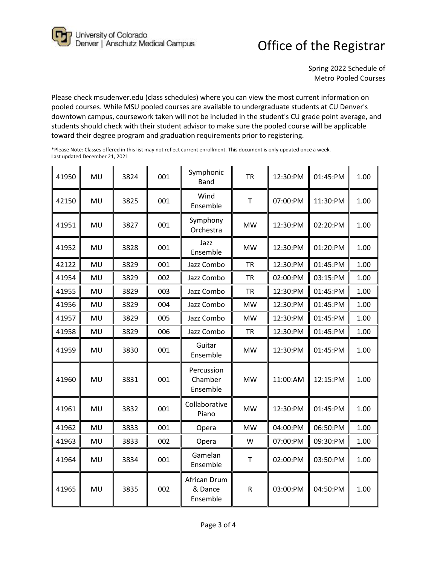University of Colorado<br>Denver | Anschutz Medical Campus

## Office of the Registrar

Spring 2022 Schedule of Metro Pooled Courses

Please check msudenver.edu (class schedules) where you can view the most current information on pooled courses. While MSU pooled courses are available to undergraduate students at CU Denver's downtown campus, coursework taken will not be included in the student's CU grade point average, and students should check with their student advisor to make sure the pooled course will be applicable toward their degree program and graduation requirements prior to registering.

| 41950 | MU | 3824 | 001 | Symphonic<br><b>Band</b>            | <b>TR</b>   | 12:30:PM | 01:45:PM | 1.00 |
|-------|----|------|-----|-------------------------------------|-------------|----------|----------|------|
| 42150 | MU | 3825 | 001 | Wind<br>Ensemble                    | T           | 07:00:PM | 11:30:PM | 1.00 |
| 41951 | MU | 3827 | 001 | Symphony<br>Orchestra               | <b>MW</b>   | 12:30:PM | 02:20:PM | 1.00 |
| 41952 | MU | 3828 | 001 | Jazz<br>Ensemble                    | <b>MW</b>   | 12:30:PM | 01:20:PM | 1.00 |
| 42122 | MU | 3829 | 001 | Jazz Combo                          | <b>TR</b>   | 12:30:PM | 01:45:PM | 1.00 |
| 41954 | MU | 3829 | 002 | Jazz Combo                          | <b>TR</b>   | 02:00:PM | 03:15:PM | 1.00 |
| 41955 | MU | 3829 | 003 | Jazz Combo                          | <b>TR</b>   | 12:30:PM | 01:45:PM | 1.00 |
| 41956 | MU | 3829 | 004 | Jazz Combo                          | <b>MW</b>   | 12:30:PM | 01:45:PM | 1.00 |
| 41957 | MU | 3829 | 005 | Jazz Combo                          | <b>MW</b>   | 12:30:PM | 01:45:PM | 1.00 |
| 41958 | MU | 3829 | 006 | Jazz Combo                          | <b>TR</b>   | 12:30:PM | 01:45:PM | 1.00 |
| 41959 | MU | 3830 | 001 | Guitar<br>Ensemble                  | <b>MW</b>   | 12:30:PM | 01:45:PM | 1.00 |
| 41960 | MU | 3831 | 001 | Percussion<br>Chamber<br>Ensemble   | <b>MW</b>   | 11:00:AM | 12:15:PM | 1.00 |
| 41961 | MU | 3832 | 001 | Collaborative<br>Piano              | <b>MW</b>   | 12:30:PM | 01:45:PM | 1.00 |
| 41962 | MU | 3833 | 001 | Opera                               | <b>MW</b>   | 04:00:PM | 06:50:PM | 1.00 |
| 41963 | MU | 3833 | 002 | Opera                               | W           | 07:00:PM | 09:30:PM | 1.00 |
| 41964 | MU | 3834 | 001 | Gamelan<br>Ensemble                 | $\mathsf T$ | 02:00:PM | 03:50:PM | 1.00 |
| 41965 | MU | 3835 | 002 | African Drum<br>& Dance<br>Ensemble | $\mathsf R$ | 03:00:PM | 04:50:PM | 1.00 |